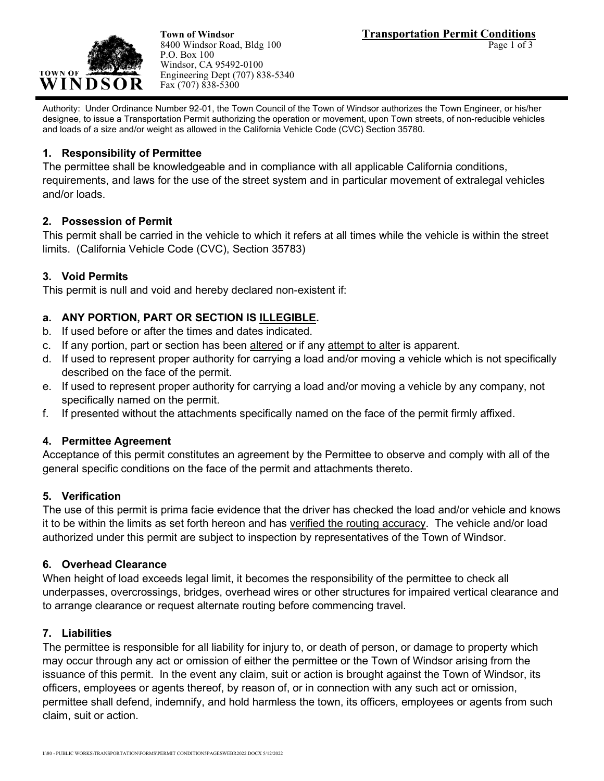

8400 Windsor Road, Bldg 100 P.O. Box 100 Windsor, CA 95492-0100 Engineering Dept (707) 838-5340 Fax (707) 838-5300

Authority: Under Ordinance Number 92-01, the Town Council of the Town of Windsor authorizes the Town Engineer, or his/her designee, to issue a Transportation Permit authorizing the operation or movement, upon Town streets, of non-reducible vehicles and loads of a size and/or weight as allowed in the California Vehicle Code (CVC) Section 35780.

#### **1. Responsibility of Permittee**

The permittee shall be knowledgeable and in compliance with all applicable California conditions, requirements, and laws for the use of the street system and in particular movement of extralegal vehicles and/or loads.

#### **2. Possession of Permit**

This permit shall be carried in the vehicle to which it refers at all times while the vehicle is within the street limits. (California Vehicle Code (CVC), Section 35783)

#### **3. Void Permits**

This permit is null and void and hereby declared non-existent if:

# **a. ANY PORTION, PART OR SECTION IS ILLEGIBLE.**

- b. If used before or after the times and dates indicated.
- c. If any portion, part or section has been altered or if any attempt to alter is apparent.
- d. If used to represent proper authority for carrying a load and/or moving a vehicle which is not specifically described on the face of the permit.
- e. If used to represent proper authority for carrying a load and/or moving a vehicle by any company, not specifically named on the permit.
- f. If presented without the attachments specifically named on the face of the permit firmly affixed.

#### **4. Permittee Agreement**

Acceptance of this permit constitutes an agreement by the Permittee to observe and comply with all of the general specific conditions on the face of the permit and attachments thereto.

#### **5. Verification**

The use of this permit is prima facie evidence that the driver has checked the load and/or vehicle and knows it to be within the limits as set forth hereon and has verified the routing accuracy. The vehicle and/or load authorized under this permit are subject to inspection by representatives of the Town of Windsor.

#### **6. Overhead Clearance**

When height of load exceeds legal limit, it becomes the responsibility of the permittee to check all underpasses, overcrossings, bridges, overhead wires or other structures for impaired vertical clearance and to arrange clearance or request alternate routing before commencing travel.

#### **7. Liabilities**

The permittee is responsible for all liability for injury to, or death of person, or damage to property which may occur through any act or omission of either the permittee or the Town of Windsor arising from the issuance of this permit. In the event any claim, suit or action is brought against the Town of Windsor, its officers, employees or agents thereof, by reason of, or in connection with any such act or omission, permittee shall defend, indemnify, and hold harmless the town, its officers, employees or agents from such claim, suit or action.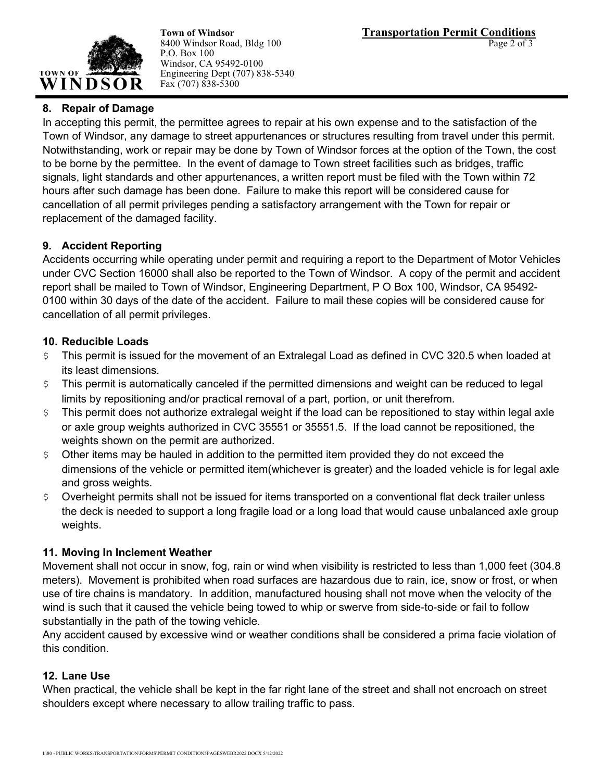

P.O. Box 100 Windsor, CA 95492-0100 Engineering Dept (707) 838-5340 Fax (707) 838-5300

# **8. Repair of Damage**

In accepting this permit, the permittee agrees to repair at his own expense and to the satisfaction of the Town of Windsor, any damage to street appurtenances or structures resulting from travel under this permit. Notwithstanding, work or repair may be done by Town of Windsor forces at the option of the Town, the cost to be borne by the permittee. In the event of damage to Town street facilities such as bridges, traffic signals, light standards and other appurtenances, a written report must be filed with the Town within 72 hours after such damage has been done. Failure to make this report will be considered cause for cancellation of all permit privileges pending a satisfactory arrangement with the Town for repair or replacement of the damaged facility.

# **9. Accident Reporting**

Accidents occurring while operating under permit and requiring a report to the Department of Motor Vehicles under CVC Section 16000 shall also be reported to the Town of Windsor. A copy of the permit and accident report shall be mailed to Town of Windsor, Engineering Department, P O Box 100, Windsor, CA 95492- 0100 within 30 days of the date of the accident. Failure to mail these copies will be considered cause for cancellation of all permit privileges.

# **10. Reducible Loads**

- $\frac{1}{2}$  This permit is issued for the movement of an Extralegal Load as defined in CVC 320.5 when loaded at its least dimensions.
- \$ This permit is automatically canceled if the permitted dimensions and weight can be reduced to legal limits by repositioning and/or practical removal of a part, portion, or unit therefrom.
- $\varsigma$  This permit does not authorize extralegal weight if the load can be repositioned to stay within legal axle or axle group weights authorized in CVC 35551 or 35551.5. If the load cannot be repositioned, the weights shown on the permit are authorized.
- \$ Other items may be hauled in addition to the permitted item provided they do not exceed the dimensions of the vehicle or permitted item(whichever is greater) and the loaded vehicle is for legal axle and gross weights.
- $\frac{1}{2}$  Overheight permits shall not be issued for items transported on a conventional flat deck trailer unless the deck is needed to support a long fragile load or a long load that would cause unbalanced axle group weights.

# **11. Moving In Inclement Weather**

Movement shall not occur in snow, fog, rain or wind when visibility is restricted to less than 1,000 feet (304.8 meters). Movement is prohibited when road surfaces are hazardous due to rain, ice, snow or frost, or when use of tire chains is mandatory. In addition, manufactured housing shall not move when the velocity of the wind is such that it caused the vehicle being towed to whip or swerve from side-to-side or fail to follow substantially in the path of the towing vehicle.

Any accident caused by excessive wind or weather conditions shall be considered a prima facie violation of this condition.

# **12. Lane Use**

When practical, the vehicle shall be kept in the far right lane of the street and shall not encroach on street shoulders except where necessary to allow trailing traffic to pass.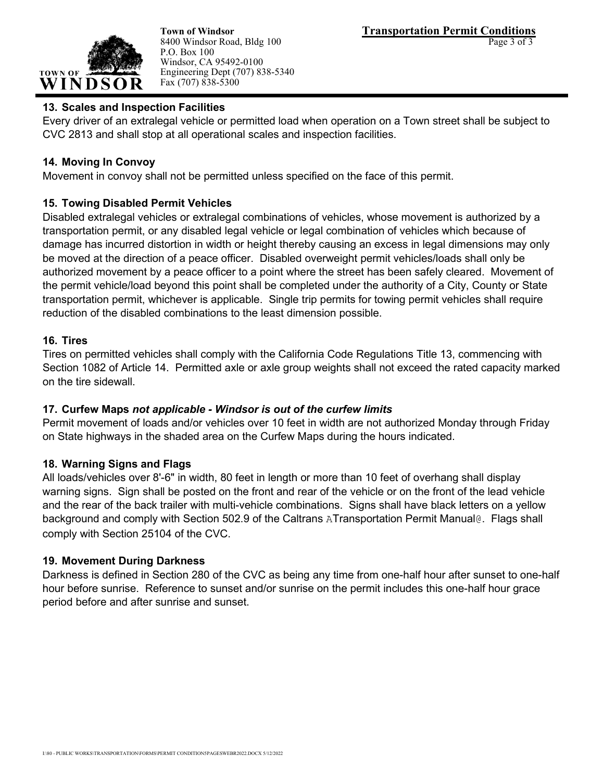

8400 Windsor Road, Bldg 100 P.O. Box 100 Windsor, CA 95492-0100 Engineering Dept (707) 838-5340 Fax (707) 838-5300

# **13. Scales and Inspection Facilities**

Every driver of an extralegal vehicle or permitted load when operation on a Town street shall be subject to CVC 2813 and shall stop at all operational scales and inspection facilities.

# **14. Moving In Convoy**

Movement in convoy shall not be permitted unless specified on the face of this permit.

# **15. Towing Disabled Permit Vehicles**

Disabled extralegal vehicles or extralegal combinations of vehicles, whose movement is authorized by a transportation permit, or any disabled legal vehicle or legal combination of vehicles which because of damage has incurred distortion in width or height thereby causing an excess in legal dimensions may only be moved at the direction of a peace officer. Disabled overweight permit vehicles/loads shall only be authorized movement by a peace officer to a point where the street has been safely cleared. Movement of the permit vehicle/load beyond this point shall be completed under the authority of a City, County or State transportation permit, whichever is applicable. Single trip permits for towing permit vehicles shall require reduction of the disabled combinations to the least dimension possible.

# **16. Tires**

Tires on permitted vehicles shall comply with the California Code Regulations Title 13, commencing with Section 1082 of Article 14. Permitted axle or axle group weights shall not exceed the rated capacity marked on the tire sidewall.

# **17. Curfew Maps** *not applicable - Windsor is out of the curfew limits*

Permit movement of loads and/or vehicles over 10 feet in width are not authorized Monday through Friday on State highways in the shaded area on the Curfew Maps during the hours indicated.

# **18. Warning Signs and Flags**

All loads/vehicles over 8'-6" in width, 80 feet in length or more than 10 feet of overhang shall display warning signs. Sign shall be posted on the front and rear of the vehicle or on the front of the lead vehicle and the rear of the back trailer with multi-vehicle combinations. Signs shall have black letters on a yellow background and comply with Section 502.9 of the Caltrans ATransportation Permit Manual@. Flags shall comply with Section 25104 of the CVC.

# **19. Movement During Darkness**

Darkness is defined in Section 280 of the CVC as being any time from one-half hour after sunset to one-half hour before sunrise. Reference to sunset and/or sunrise on the permit includes this one-half hour grace period before and after sunrise and sunset.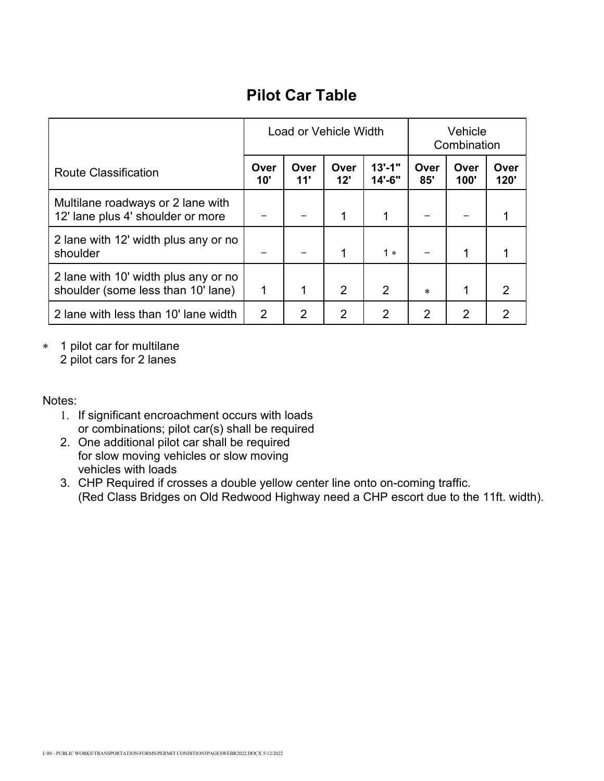# **Pilot Car Table**

|                                                                            | Load or Vehicle Width |             |                | Vehicle<br>Combination |                |                |              |
|----------------------------------------------------------------------------|-----------------------|-------------|----------------|------------------------|----------------|----------------|--------------|
| <b>Route Classification</b>                                                | Over<br>10'           | Over<br>11' | Over<br>12'    | $13' - 1"$<br>14'-6"   | Over<br>85'    | Over<br>100'   | Over<br>120' |
| Multilane roadways or 2 lane with<br>12' lane plus 4' shoulder or more     |                       |             | 1              | 1                      |                |                |              |
| 2 lane with 12' width plus any or no<br>shoulder                           |                       |             | 1              | $1*$                   |                | 1              |              |
| 2 lane with 10' width plus any or no<br>shoulder (some less than 10' lane) | 1                     | 1           | $\overline{2}$ | 2                      | $\ast$         | 1              | 2            |
| 2 lane with less than 10' lane width                                       | 2                     | 2           | $\overline{2}$ | 2                      | $\overline{2}$ | $\overline{2}$ | 2            |

∗ 1 pilot car for multilane

2 pilot cars for 2 lanes

Notes:

- 1. If significant encroachment occurs with loads or combinations; pilot car(s) shall be required
- 2. One additional pilot car shall be required for slow moving vehicles or slow moving vehicles with loads
- 3. CHP Required if crosses a double yellow center line onto on-coming traffic. (Red Class Bridges on Old Redwood Highway need a CHP escort due to the 11ft. width).